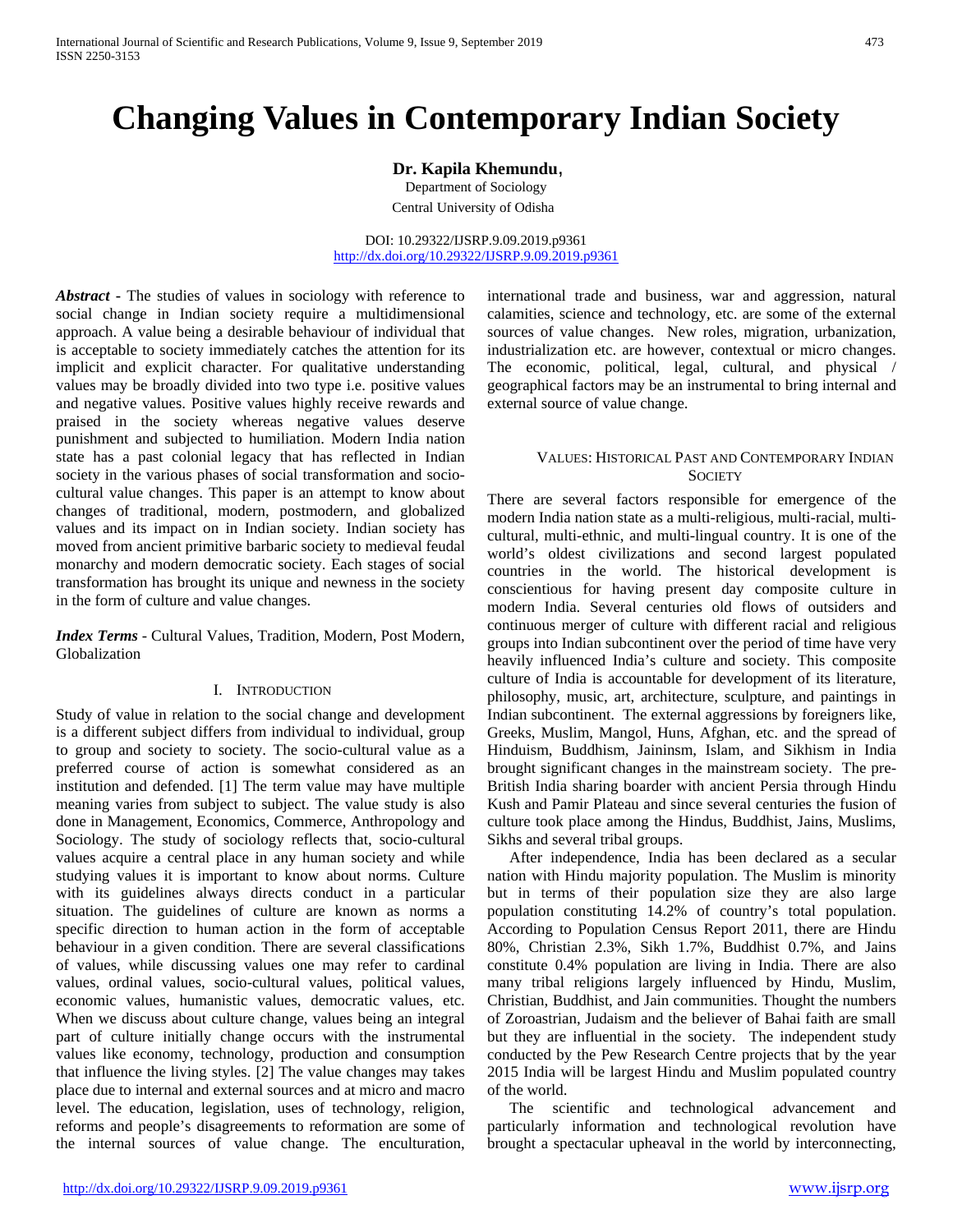# **Changing Values in Contemporary Indian Society**

**Dr. Kapila Khemundu**,

Department of Sociology

Central University of Odisha

DOI: 10.29322/IJSRP.9.09.2019.p9361 <http://dx.doi.org/10.29322/IJSRP.9.09.2019.p9361>

*Abstract* **-** The studies of values in sociology with reference to social change in Indian society require a multidimensional approach. A value being a desirable behaviour of individual that is acceptable to society immediately catches the attention for its implicit and explicit character. For qualitative understanding values may be broadly divided into two type i.e. positive values and negative values. Positive values highly receive rewards and praised in the society whereas negative values deserve punishment and subjected to humiliation. Modern India nation state has a past colonial legacy that has reflected in Indian society in the various phases of social transformation and sociocultural value changes. This paper is an attempt to know about changes of traditional, modern, postmodern, and globalized values and its impact on in Indian society. Indian society has moved from ancient primitive barbaric society to medieval feudal monarchy and modern democratic society. Each stages of social transformation has brought its unique and newness in the society in the form of culture and value changes.

*Index Terms* - Cultural Values, Tradition, Modern, Post Modern, Globalization

## I. INTRODUCTION

Study of value in relation to the social change and development is a different subject differs from individual to individual, group to group and society to society. The socio-cultural value as a preferred course of action is somewhat considered as an institution and defended. [1] The term value may have multiple meaning varies from subject to subject. The value study is also done in Management, Economics, Commerce, Anthropology and Sociology. The study of sociology reflects that, socio-cultural values acquire a central place in any human society and while studying values it is important to know about norms. Culture with its guidelines always directs conduct in a particular situation. The guidelines of culture are known as norms a specific direction to human action in the form of acceptable behaviour in a given condition. There are several classifications of values, while discussing values one may refer to cardinal values, ordinal values, socio-cultural values, political values, economic values, humanistic values, democratic values, etc. When we discuss about culture change, values being an integral part of culture initially change occurs with the instrumental values like economy, technology, production and consumption that influence the living styles. [2] The value changes may takes place due to internal and external sources and at micro and macro level. The education, legislation, uses of technology, religion, reforms and people's disagreements to reformation are some of the internal sources of value change. The enculturation,

international trade and business, war and aggression, natural calamities, science and technology, etc. are some of the external sources of value changes. New roles, migration, urbanization, industrialization etc. are however, contextual or micro changes. The economic, political, legal, cultural, and physical / geographical factors may be an instrumental to bring internal and external source of value change.

## VALUES: HISTORICAL PAST AND CONTEMPORARY INDIAN **SOCIETY**

There are several factors responsible for emergence of the modern India nation state as a multi-religious, multi-racial, multicultural, multi-ethnic, and multi-lingual country. It is one of the world's oldest civilizations and second largest populated countries in the world. The historical development is conscientious for having present day composite culture in modern India. Several centuries old flows of outsiders and continuous merger of culture with different racial and religious groups into Indian subcontinent over the period of time have very heavily influenced India's culture and society. This composite culture of India is accountable for development of its literature, philosophy, music, art, architecture, sculpture, and paintings in Indian subcontinent. The external aggressions by foreigners like, Greeks, Muslim, Mangol, Huns, Afghan, etc. and the spread of Hinduism, Buddhism, Jaininsm, Islam, and Sikhism in India brought significant changes in the mainstream society. The pre-British India sharing boarder with ancient Persia through Hindu Kush and Pamir Plateau and since several centuries the fusion of culture took place among the Hindus, Buddhist, Jains, Muslims, Sikhs and several tribal groups.

After independence, India has been declared as a secular nation with Hindu majority population. The Muslim is minority but in terms of their population size they are also large population constituting 14.2% of country's total population. According to Population Census Report 2011, there are Hindu 80%, Christian 2.3%, Sikh 1.7%, Buddhist 0.7%, and Jains constitute 0.4% population are living in India. There are also many tribal religions largely influenced by Hindu, Muslim, Christian, Buddhist, and Jain communities. Thought the numbers of Zoroastrian, Judaism and the believer of Bahai faith are small but they are influential in the society. The independent study conducted by the Pew Research Centre projects that by the year 2015 India will be largest Hindu and Muslim populated country of the world.

The scientific and technological advancement and particularly information and technological revolution have brought a spectacular upheaval in the world by interconnecting,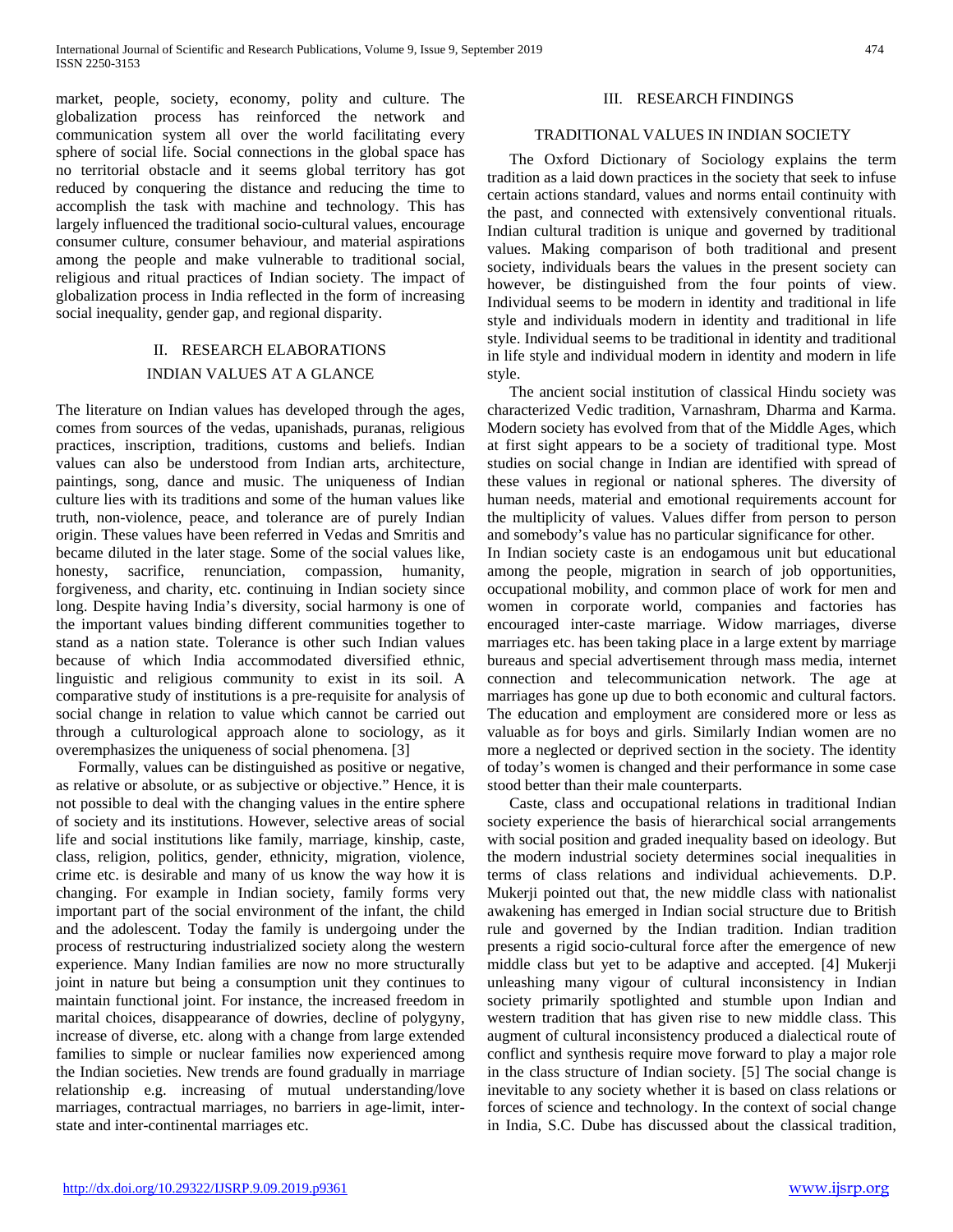market, people, society, economy, polity and culture. The globalization process has reinforced the network and communication system all over the world facilitating every sphere of social life. Social connections in the global space has no territorial obstacle and it seems global territory has got reduced by conquering the distance and reducing the time to accomplish the task with machine and technology. This has largely influenced the traditional socio-cultural values, encourage consumer culture, consumer behaviour, and material aspirations among the people and make vulnerable to traditional social, religious and ritual practices of Indian society. The impact of globalization process in India reflected in the form of increasing social inequality, gender gap, and regional disparity.

## II. RESEARCH ELABORATIONS INDIAN VALUES AT A GLANCE

The literature on Indian values has developed through the ages, comes from sources of the vedas, upanishads, puranas, religious practices, inscription, traditions, customs and beliefs. Indian values can also be understood from Indian arts, architecture, paintings, song, dance and music. The uniqueness of Indian culture lies with its traditions and some of the human values like truth, non-violence, peace, and tolerance are of purely Indian origin. These values have been referred in Vedas and Smritis and became diluted in the later stage. Some of the social values like, honesty, sacrifice, renunciation, compassion, humanity, forgiveness, and charity, etc. continuing in Indian society since long. Despite having India's diversity, social harmony is one of the important values binding different communities together to stand as a nation state. Tolerance is other such Indian values because of which India accommodated diversified ethnic, linguistic and religious community to exist in its soil. A comparative study of institutions is a pre-requisite for analysis of social change in relation to value which cannot be carried out through a culturological approach alone to sociology, as it overemphasizes the uniqueness of social phenomena. [3]

Formally, values can be distinguished as positive or negative, as relative or absolute, or as subjective or objective." Hence, it is not possible to deal with the changing values in the entire sphere of society and its institutions. However, selective areas of social life and social institutions like family, marriage, kinship, caste, class, religion, politics, gender, ethnicity, migration, violence, crime etc. is desirable and many of us know the way how it is changing. For example in Indian society, family forms very important part of the social environment of the infant, the child and the adolescent. Today the family is undergoing under the process of restructuring industrialized society along the western experience. Many Indian families are now no more structurally joint in nature but being a consumption unit they continues to maintain functional joint. For instance, the increased freedom in marital choices, disappearance of dowries, decline of polygyny, increase of diverse, etc. along with a change from large extended families to simple or nuclear families now experienced among the Indian societies. New trends are found gradually in marriage relationship e.g. increasing of mutual understanding/love marriages, contractual marriages, no barriers in age-limit, interstate and inter-continental marriages etc.

## III. RESEARCH FINDINGS

## TRADITIONAL VALUES IN INDIAN SOCIETY

The Oxford Dictionary of Sociology explains the term tradition as a laid down practices in the society that seek to infuse certain actions standard, values and norms entail continuity with the past, and connected with extensively conventional rituals. Indian cultural tradition is unique and governed by traditional values. Making comparison of both traditional and present society, individuals bears the values in the present society can however, be distinguished from the four points of view. Individual seems to be modern in identity and traditional in life style and individuals modern in identity and traditional in life style. Individual seems to be traditional in identity and traditional in life style and individual modern in identity and modern in life style.

The ancient social institution of classical Hindu society was characterized Vedic tradition, Varnashram, Dharma and Karma. Modern society has evolved from that of the Middle Ages, which at first sight appears to be a society of traditional type. Most studies on social change in Indian are identified with spread of these values in regional or national spheres. The diversity of human needs, material and emotional requirements account for the multiplicity of values. Values differ from person to person and somebody's value has no particular significance for other. In Indian society caste is an endogamous unit but educational among the people, migration in search of job opportunities, occupational mobility, and common place of work for men and women in corporate world, companies and factories has encouraged inter-caste marriage. Widow marriages, diverse marriages etc. has been taking place in a large extent by marriage bureaus and special advertisement through mass media, internet connection and telecommunication network. The age at marriages has gone up due to both economic and cultural factors. The education and employment are considered more or less as valuable as for boys and girls. Similarly Indian women are no more a neglected or deprived section in the society. The identity of today's women is changed and their performance in some case stood better than their male counterparts.

Caste, class and occupational relations in traditional Indian society experience the basis of hierarchical social arrangements with social position and graded inequality based on ideology. But the modern industrial society determines social inequalities in terms of class relations and individual achievements. D.P. Mukerji pointed out that, the new middle class with nationalist awakening has emerged in Indian social structure due to British rule and governed by the Indian tradition. Indian tradition presents a rigid socio-cultural force after the emergence of new middle class but yet to be adaptive and accepted. [4] Mukerji unleashing many vigour of cultural inconsistency in Indian society primarily spotlighted and stumble upon Indian and western tradition that has given rise to new middle class. This augment of cultural inconsistency produced a dialectical route of conflict and synthesis require move forward to play a major role in the class structure of Indian society. [5] The social change is inevitable to any society whether it is based on class relations or forces of science and technology. In the context of social change in India, S.C. Dube has discussed about the classical tradition,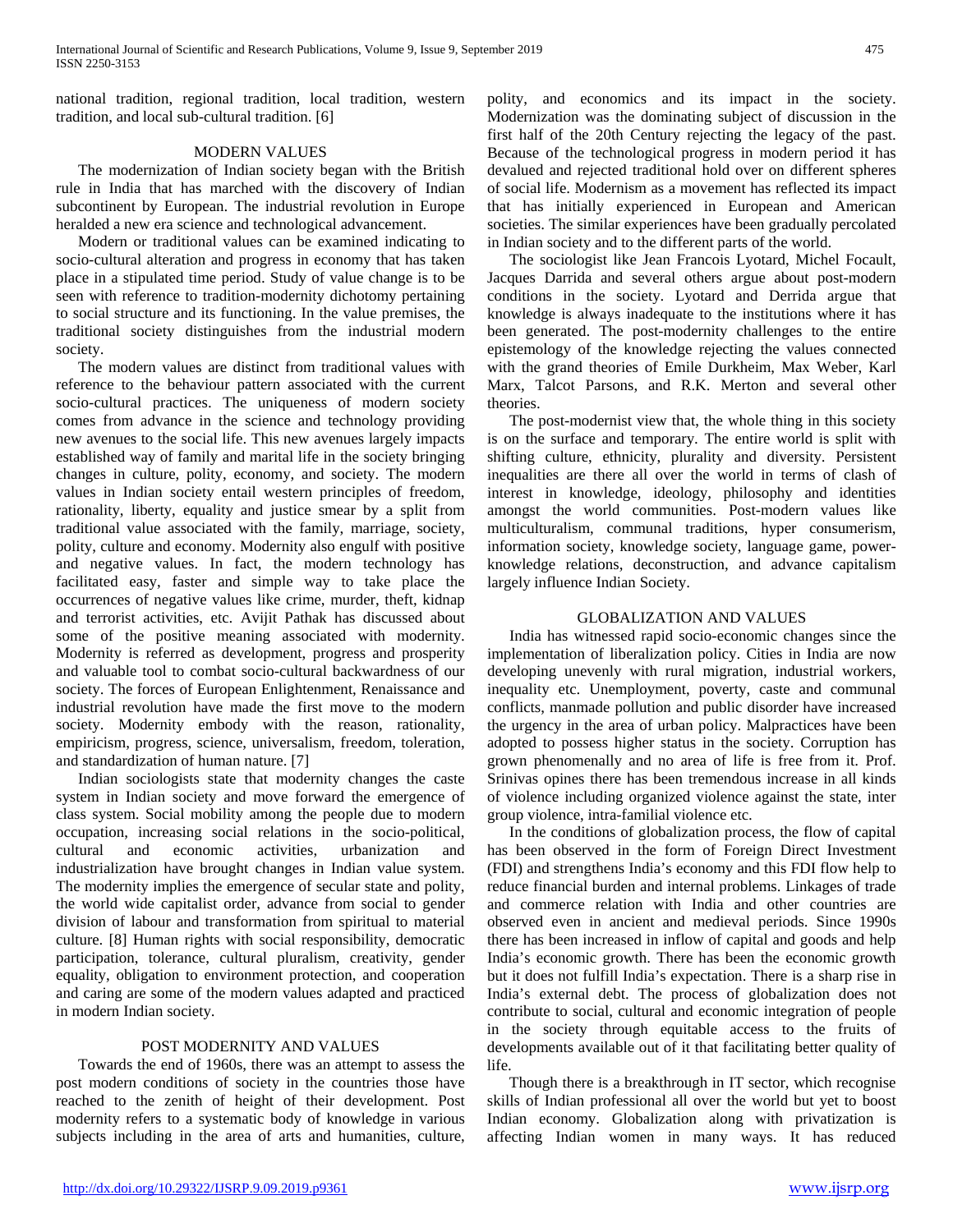national tradition, regional tradition, local tradition, western tradition, and local sub-cultural tradition. [6]

## MODERN VALUES

The modernization of Indian society began with the British rule in India that has marched with the discovery of Indian subcontinent by European. The industrial revolution in Europe heralded a new era science and technological advancement.

Modern or traditional values can be examined indicating to socio-cultural alteration and progress in economy that has taken place in a stipulated time period. Study of value change is to be seen with reference to tradition-modernity dichotomy pertaining to social structure and its functioning. In the value premises, the traditional society distinguishes from the industrial modern society.

The modern values are distinct from traditional values with reference to the behaviour pattern associated with the current socio-cultural practices. The uniqueness of modern society comes from advance in the science and technology providing new avenues to the social life. This new avenues largely impacts established way of family and marital life in the society bringing changes in culture, polity, economy, and society. The modern values in Indian society entail western principles of freedom, rationality, liberty, equality and justice smear by a split from traditional value associated with the family, marriage, society, polity, culture and economy. Modernity also engulf with positive and negative values. In fact, the modern technology has facilitated easy, faster and simple way to take place the occurrences of negative values like crime, murder, theft, kidnap and terrorist activities, etc. Avijit Pathak has discussed about some of the positive meaning associated with modernity. Modernity is referred as development, progress and prosperity and valuable tool to combat socio-cultural backwardness of our society. The forces of European Enlightenment, Renaissance and industrial revolution have made the first move to the modern society. Modernity embody with the reason, rationality, empiricism, progress, science, universalism, freedom, toleration, and standardization of human nature. [7]

Indian sociologists state that modernity changes the caste system in Indian society and move forward the emergence of class system. Social mobility among the people due to modern occupation, increasing social relations in the socio-political, cultural and economic activities, urbanization and industrialization have brought changes in Indian value system. The modernity implies the emergence of secular state and polity, the world wide capitalist order, advance from social to gender division of labour and transformation from spiritual to material culture. [8] Human rights with social responsibility, democratic participation, tolerance, cultural pluralism, creativity, gender equality, obligation to environment protection, and cooperation and caring are some of the modern values adapted and practiced in modern Indian society.

## POST MODERNITY AND VALUES

Towards the end of 1960s, there was an attempt to assess the post modern conditions of society in the countries those have reached to the zenith of height of their development. Post modernity refers to a systematic body of knowledge in various subjects including in the area of arts and humanities, culture,

polity, and economics and its impact in the society. Modernization was the dominating subject of discussion in the first half of the 20th Century rejecting the legacy of the past. Because of the technological progress in modern period it has devalued and rejected traditional hold over on different spheres of social life. Modernism as a movement has reflected its impact that has initially experienced in European and American societies. The similar experiences have been gradually percolated in Indian society and to the different parts of the world.

The sociologist like Jean Francois Lyotard, Michel Focault, Jacques Darrida and several others argue about post-modern conditions in the society. Lyotard and Derrida argue that knowledge is always inadequate to the institutions where it has been generated. The post-modernity challenges to the entire epistemology of the knowledge rejecting the values connected with the grand theories of Emile Durkheim, Max Weber, Karl Marx, Talcot Parsons, and R.K. Merton and several other theories.

The post-modernist view that, the whole thing in this society is on the surface and temporary. The entire world is split with shifting culture, ethnicity, plurality and diversity. Persistent inequalities are there all over the world in terms of clash of interest in knowledge, ideology, philosophy and identities amongst the world communities. Post-modern values like multiculturalism, communal traditions, hyper consumerism, information society, knowledge society, language game, powerknowledge relations, deconstruction, and advance capitalism largely influence Indian Society.

## GLOBALIZATION AND VALUES

India has witnessed rapid socio-economic changes since the implementation of liberalization policy. Cities in India are now developing unevenly with rural migration, industrial workers, inequality etc. Unemployment, poverty, caste and communal conflicts, manmade pollution and public disorder have increased the urgency in the area of urban policy. Malpractices have been adopted to possess higher status in the society. Corruption has grown phenomenally and no area of life is free from it. Prof. Srinivas opines there has been tremendous increase in all kinds of violence including organized violence against the state, inter group violence, intra-familial violence etc.

In the conditions of globalization process, the flow of capital has been observed in the form of Foreign Direct Investment (FDI) and strengthens India's economy and this FDI flow help to reduce financial burden and internal problems. Linkages of trade and commerce relation with India and other countries are observed even in ancient and medieval periods. Since 1990s there has been increased in inflow of capital and goods and help India's economic growth. There has been the economic growth but it does not fulfill India's expectation. There is a sharp rise in India's external debt. The process of globalization does not contribute to social, cultural and economic integration of people in the society through equitable access to the fruits of developments available out of it that facilitating better quality of life.

Though there is a breakthrough in IT sector, which recognise skills of Indian professional all over the world but yet to boost Indian economy. Globalization along with privatization is affecting Indian women in many ways. It has reduced